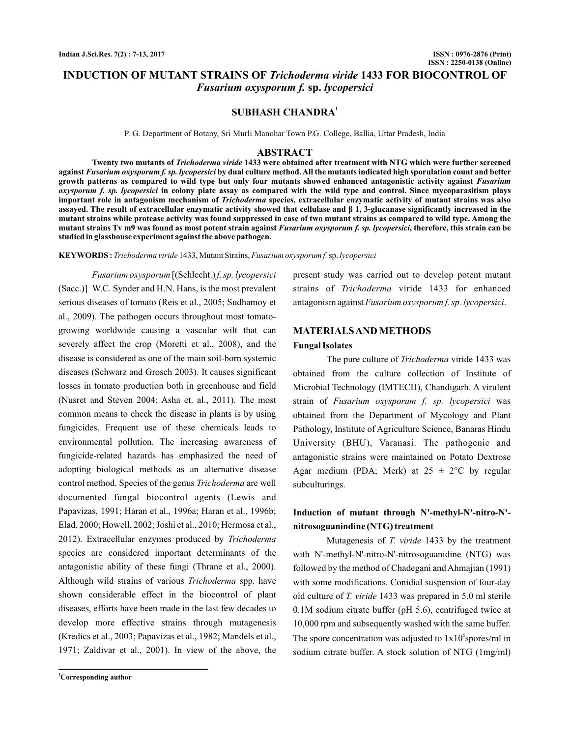# **INDUCTION OF MUTANT STRAINS OF Trichoderma viride 1433 FOR BIOCONTROL OF sp.** *Fusarium oxysporum f. lycopersici*

## **SUBHASH CHANDRA<sup>1</sup>**

P. G. Department of Botany, Sri Murli Manohar Town P.G. College, Ballia, Uttar Pradesh, India

#### **ABSTRACT**

Twenty two mutants of *Trichoderma viride* 1433 were obtained after treatment with NTG which were further screened against *Fusarium oxysporum f. sp. lycopersici* by dual culture method. All the mutants indicated high sporulation count and better **growth patterns as compared to wild type but only four mutants showed enhanced antagonistic activity against** *Fusarium oxysporum f. sp. lycopersici* in colony plate assay as compared with the wild type and control. Since mycoparasitism plays important role in antagonism mechanism of *Trichoderma s*pecies, extracellular enzymatic activity of mutant strains was also **assayed. The result of extracellular en zymatic activity showed that cellulase and β 1, 3-glucanase significantly increased in the . Among the mutant strains while protease activity was found suppressed in case of two mutant strains as compared to wild type** mutant strains Tv m9 was found as most potent strain against *Fusarium oxysporum f. sp. lycopersici*, therefore, this strain can be **studied in glasshouse experiment against the above pathogen.**

**KEYWORDS :** *Trichoderma viride* 1433, Mutant Strains, *Fusarium oxysporum f.* sp. lycopersici

[(Schlecht.) *Fusarium oxysporum f. sp. lycopersici* (Sacc.)] W.C. Synder and H.N. Hans, is the most prevalent serious diseases of tomato (Reis et al., 2005; Sudhamoy et al., 2009). The pathogen occurs throughout most tomatogrowing worldwide causing a vascular wilt that can severely affect the crop (Moretti et al., 2008), and the disease is considered as one of the main soil-born systemic diseases (Schwarz and Grosch 2003). It causes significant losses in tomato production both in greenhouse and field (Nusret and Steven 2004; Asha et. al., 2011). The most common means to check the disease in plants is by using fungicides. Frequent use of these chemicals leads to environmental pollution. The increasing awareness of fungicide-related hazards has emphasized the need of adopting biological methods as an alternative disease control method. Species of the genus *Trichoderma* are well documented fungal biocontrol agents (Lewis and Papavizas, 1991; Haran et al., 1996a; Haran et al., 1996b; Elad, 2000; Howell, 2002; Joshi et al., 2010; Hermosa et al., 2012). Extracellular enzymes produced by *Trichoderma* species are considered important determinants of the antagonistic ability of these fungi (Thrane et al., 2000). Although wild strains of various Trichoderma spp. have shown considerable effect in the biocontrol of plant diseases, efforts have been made in the last few decades to develop more effective strains through mutagenesis (Kredics et al., 2003; Papavizas et al., 1982; Mandels et al., 1971; Zaldivar et al., 2001). In view of the above, the

present study was carried out to develop potent mutant strains of Trichoderma viride 1433 for enhanced antagonism against Fusarium oxysporum f. sp. lycopersici.

### **MATERIALSANDMETHODS**

#### **Fungal Isolates**

The pure culture of *Trichoderma* viride 1433 was obtained from the culture collection of Institute of Microbial Technology (IMTECH), Chandigarh. A virulent strain of Fusarium oxysporum f. sp. lycopersici was obtained from the Department of Mycology and Plant Pathology, Institute of Agriculture Science, Banaras Hindu University (BHU), Varanasi. The pathogenic and antagonistic strains were maintained on Potato Dextrose Agar medium (PDA; Merk) at  $25 \pm 2$ °C by regular subculturings.

## **Induction of mutant through N'-methyl-N'-nitro-N' nitrosoguanindine (NTG) treatment**

Mutagenesis of T. viride 1433 by the treatment with N'-methyl-N'-nitro-N'-nitrosoguanidine (NTG) was followed by the method of Chadegani and Ahmajian (1991) with some modifications. Conidial suspension of four-day old culture of *T. viride* 1433 was prepared in 5.0 ml sterile 0.1M sodium citrate buffer (pH 5.6), centrifuged twice at 10,000 rpm and subsequently washed with the same buffer. The spore concentration was adjusted to  $1x10^5$ spores/ml in sodium citrate buffer. A stock solution of NTG (1mg/ml)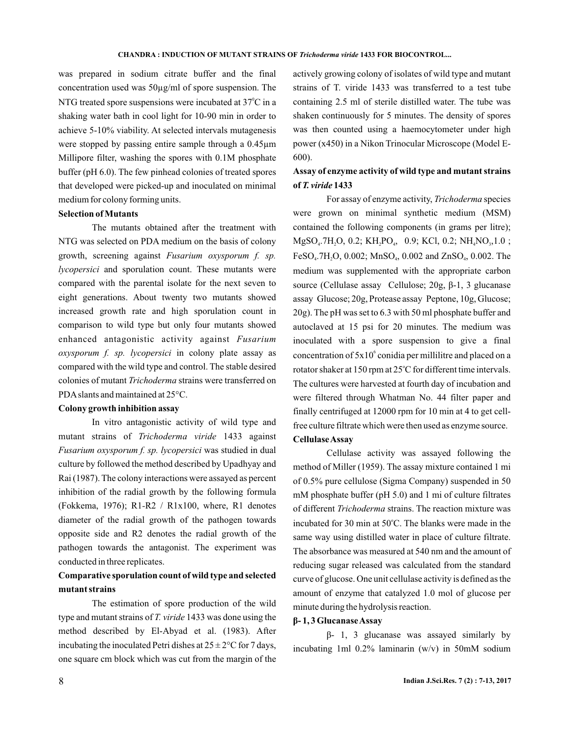was prepared in sodium citrate buffer and the final concentration used was 50µg/ml of spore suspension. The NTG treated spore suspensions were incubated at  $37^{\circ}$ C in a shaking water bath in cool light for 10-90 min in order to achieve 5-10% viability. At selected intervals mutagenesis were stopped by passing entire sample through a 0.45µm Millipore filter, washing the spores with 0.1M phosphate buffer (pH 6.0). The few pinhead colonies of treated spores that developed were picked-up and inoculated on minimal medium for colony forming units.

### **Selection ofMutants**

The mutants obtained after the treatment with NTG was selected on PDA medium on the basis of colony growth, screening against *Fusarium oxysporum f. sp.* lycopersici and sporulation count. These mutants were compared with the parental isolate for the next seven to eight generations. About twenty two mutants showed increased growth rate and high sporulation count in comparison to wild type but only four mutants showed enhanced antagonistic activity against *Fusarium* oxysporum f. sp. lycopersici in colony plate assay as compared with the wild type and control. The stable desired colonies of mutant Trichoderma strains were transferred on PDAslants and maintained at 25°C.

### **Colony growth inhibition assay**

In vitro antagonistic activity of wild type and mutant strains of *Trichoderma viride* 1433 against Fusarium oxysporum f. sp. lycopersici was studied in dual culture by followed the method described by Upadhyay and Rai (1987). The colony interactions were assayed as percent inhibition of the radial growth by the following formula (Fokkema, 1976); R1 R2 / R1x100, where, R1 denotes  diameter of the radial growth of the pathogen towards opposite side and R2 denotes the radial growth of the pathogen towards the antagonist. The experiment was conducted in three replicates.

# **Comparative sporulation count of wild type and selected mutant strains**

The estimation of spore production of the wild type and mutant strains of *T. viride* 1433 was done using the method described by El-Abyad et al. (1983). After incubating the inoculated Petri dishes at  $25 \pm 2^{\circ}$ C for 7 days, one square cm block which was cut from the margin of the

actively growing colony of isolates of wild type and mutant strains of T. viride 1433 was transferred to a test tube containing 2.5 ml of sterile distilled water. The tube was shaken continuously for 5 minutes. The density of spores was then counted using a haemocytometer under high power (x450) in a Nikon Trinocular Microscope (Model E-600).

# **Assay of enzyme activity of wild type and mutant strains of 1433** *T. viride*

For assay of enzyme activity, *Trichoderma* species were grown on minimal synthetic medium (MSM) contained the following components (in grams per litre);  $MgSO_4$ .7H<sub>2</sub>O, 0.2; KH<sub>2</sub>PO<sub>4</sub>, 0.9; KCl, 0.2; NH<sub>4</sub>NO<sub>3</sub>,1.0; FeSO<sub>4</sub>.7H<sub>2</sub>O, 0.002; MnSO<sub>4</sub>, 0.002 and ZnSO<sub>4</sub>, 0.002. The medium was supplemented with the appropriate carbon source (Cellulase assay Cellulose; 20g, β-1, 3 glucanase autoclaved at 15 psi for 20 minutes. The medium was inoculated with a spore suspension to give a final concentration of  $5x10^{\circ}$  conidia per millilitre and placed on a rotator shaker at 150 rpm at 25°C for different time intervals. The cultures were harvested at fourth day of incubation and were filtered through Whatman No. 44 filter paper and finally centrifuged at 12000 rpm for 10 min at 4 to get cellfree culture filtrate which were then used as enzyme source. **CellulaseAssay** assay Glucose; 20g, Protease assay Peptone, 10g, Glucose; 20g). The pH was set to 6.3 with 50 ml phosphate buffer and

Cellulase activity was assayed following the method of Miller (1959). The assay mixture contained 1 mi of 0.5% pure cellulose (Sigma Company) suspended in 50 mM phosphate buffer (pH 5.0) and 1 mi of culture filtrates of different *Trichoderma* strains. The reaction mixture was incubated for 30 min at 50°C. The blanks were made in the same way using distilled water in place of culture filtrate. The absorbance was measured at 540 nm and the amount of reducing sugar released was calculated from the standard curve of glucose. One unit cellulase activity is defined as the amount of enzyme that catalyzed 1.0 mol of glucose per minute during the hydrolysis reaction.

### **1, 3 GlucanaseAssay β-**

 $β-1$ , 3 glucanase was assayed similarly by incubating 1ml 0.2% laminarin (w/v) in 50mM sodium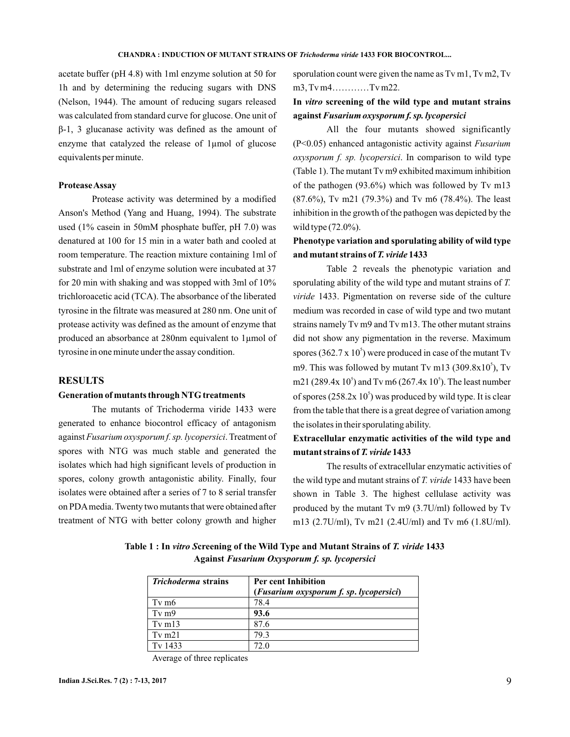acetate buffer (pH 4.8) with 1ml enzyme solution at 50 for 1h and by determining the reducing sugars with DNS (Nelson, 1944). The amount of reducing sugars released was calculated from standard curve for glucose. One unit of enzyme that catalyzed the release of 1µmol of glucose equivalents per minute. β-1, 3 glucanase activity was defined as the amount of

### **ProteaseAssay**

Protease activity was determined by a modified Anson's Method (Yang and Huang, 1994). The substrate used (1% casein in 50mM phosphate buffer, pH 7.0) was denatured at 100 for 15 min in a water bath and cooled at room temperature. The reaction mixture containing 1ml of substrate and 1ml of enzyme solution were incubated at 37 for 20 min with shaking and was stopped with 3ml of 10% trichloroacetic acid (TCA). The absorbance of the liberated tyrosine in the filtrate was measured at 280 nm. One unit of protease activity was defined as the amount of enzyme that produced an absorbance at 280nm equivalent to 1µmol of tyrosine in one minute under the assay condition.

### **RESULTS**

### **Generation of mutants through NTG treatments**

The mutants of Trichoderma viride 1433 were generated to enhance biocontrol efficacy of antagonism against Fusarium oxysporum f. sp. lycopersici. Treatment of spores with NTG was much stable and generated the isolates which had high significant levels of production in spores, colony growth antagonistic ability. Finally, four isolates were obtained after a series of 7 to 8 serial transfer on PDAmedia. Twenty two mutants that were obtained after treatment of NTG with better colony growth and higher

sporulation count were given the name as Tv m1, Tv m2, Tv m3, Tv m4…………Tv m22.

## In *vitro* screening of the wild type and mutant strains **against** *Fusarium oxysporum f. sp. lycopersici*

All the four mutants showed significantly (P<0.05) enhanced antagonistic activity against *Fusarium* oxysporum f. sp. lycopersici. In comparison to wild type (Table 1). The mutant Tv m9 exhibited maximum inhibition of the pathogen (93.6%) which was followed by Tv m13 (87.6%), Tv m21 (79.3%) and Tv m6 (78.4%). The least inhibition in the growth of the pathogen was depicted by the wild type (72.0%).

# **Phenotype variation and sporulating ability of wild type** and mutant strains of T. viride 1433

Table 2 reveals the phenotypic variation and sporulating ability of the wild type and mutant strains of *T. viride* 1433. Pigmentation on reverse side of the culture medium was recorded in case of wild type and two mutant strains namely Tv m9 and Tv m13. The other mutant strains did not show any pigmentation in the reverse. Maximum spores  $(362.7 \times 10^5)$  were produced in case of the mutant Tv m9. This was followed by mutant Tv m13  $(309.8x10^5)$ , Tv m21 (289.4x 10<sup>5</sup>) and Tv m6 (267.4x 10<sup>5</sup>). The least number of spores  $(258.2x 10^5)$  was produced by wild type. It is clear from the table that there is a great degree of variation among the isolates in their sporulating ability.

# **Extracellular enzymatic activities of the wild type and** mutant strains of T. viride 1433

The results of extracellular enzymatic activities of the wild type and mutant strains of T. viride 1433 have been shown in Table 3. The highest cellulase activity was produced by the mutant Tv m9 (3.7U/ml) followed by Tv m13 (2.7U/ml), Tv m21 (2.4U/ml) and Tv m6 (1.8U/ml).

Table 1 : In vitro Screening of the Wild Type and Mutant Strains of T. viride 1433 **Against** *Fusarium Oxysporum f. sp. lycopersici*

| <i>Trichoderma</i> strains | <b>Per cent Inhibition</b>              |  |
|----------------------------|-----------------------------------------|--|
|                            | (Fusarium oxysporum f. sp. lycopersici) |  |
| $Tv$ m $6$                 | 78.4                                    |  |
| $Tv$ m $9$                 | 93.6                                    |  |
| $Tv$ m $13$                | 87.6                                    |  |
| $Tv$ m21                   | 79.3                                    |  |
| $T_v$ 1433                 | 72.0                                    |  |

Average of three replicates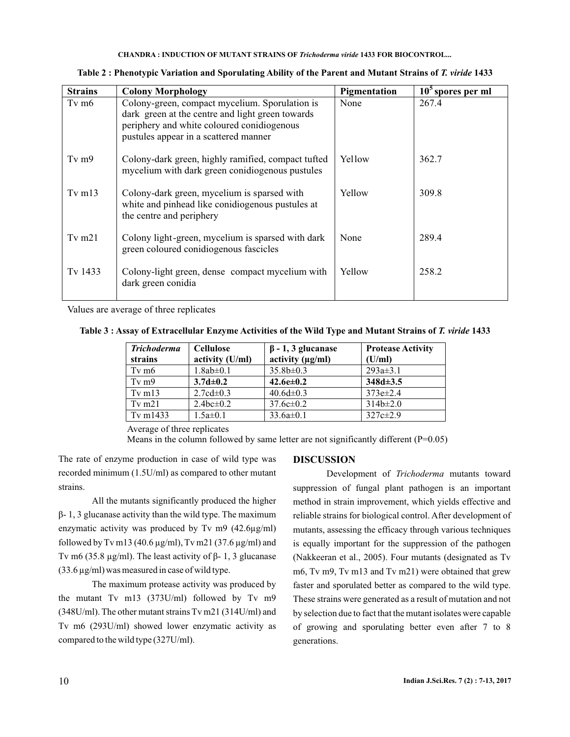**CHANDRA : INDUCTION OF MUTANT STRAINS OF Trichoderma viride 1433 FOR BIOCONTROL...** 

| <b>Strains</b>    | <b>Colony Morphology</b>                                                                                                                                                                  | Pigmentation  | $105$ spores per ml |
|-------------------|-------------------------------------------------------------------------------------------------------------------------------------------------------------------------------------------|---------------|---------------------|
| Tv m <sub>6</sub> | Colony-green, compact mycelium. Sporulation is<br>dark green at the centre and light green towards<br>periphery and white coloured conidiogenous<br>pustules appear in a scattered manner | None          | 267.4               |
| $Tv$ m $9$        | Colony-dark green, highly ramified, compact tufted<br>mycelium with dark green conidiogenous pustules                                                                                     | <b>Yellow</b> | 362.7               |
| Tv $m13$          | Colony-dark green, mycelium is sparsed with<br>white and pinhead like conidiogenous pustules at<br>the centre and periphery                                                               | Yellow        | 309.8               |
| Tv $m21$          | Colony light-green, mycelium is sparsed with dark<br>green coloured conidiogenous fascicles                                                                                               | None          | 289.4               |
| Tv 1433           | Colony-light green, dense compact mycelium with<br>dark green conidia                                                                                                                     | Yellow        | 258.2               |

Table 2 : Phenotypic Variation and Sporulating Ability of the Parent and Mutant Strains of T. viride 1433

Values are average of three replicates

Table 3 : Assay of Extracellular Enzyme Activities of the Wild Type and Mutant Strains of T. viride 1433

| <b>Trichoderma</b><br>strains | <b>Cellulose</b><br>activity (U/ml) | $\beta$ - 1, 3 glucanase<br>activity $(\mu g/ml)$ | <b>Protease Activity</b><br>(U/ml) |
|-------------------------------|-------------------------------------|---------------------------------------------------|------------------------------------|
| $Tv$ m $6$                    | $1.8ab \pm 0.1$                     | $35.8b \pm 0.3$                                   | $293a \pm 3.1$                     |
| $Tv$ m $9$                    | $3.7d \pm 0.2$                      | $42.6e \pm 0.2$                                   | $348d\pm 3.5$                      |
| $Tv$ m $13$                   | $2.7cd \pm 0.3$                     | $40.6d \pm 0.3$                                   | $373e{\pm}2.4$                     |
| $Tv$ m21                      | 2.4bc $\pm$ 0.2                     | $37.6c \pm 0.2$                                   | $314b \pm 2.0$                     |
| Tv m $1433$                   | $1.5a \pm 0.1$                      | $33.6a \pm 0.1$                                   | $327c \pm 2.9$                     |

Average of three replicates

Means in the column followed by same letter are not significantly different (P=0.05)

The rate of enzyme production in case of wild type was recorded minimum (1.5U/ml) as compared to other mutant strains.

enzymatic activity was produced by Tv m9  $(42.6\mu\text{g/ml})$ followed by Tv m13 (40.6  $\mu$ g/ml), Tv m21 (37.6  $\mu$ g/ml) and Tv m6 (35.8 μg/ml). The least activity of  $\beta$ - 1, 3 glucanase  $(33.6 \,\mu\text{g/ml})$  was measured in case of wild type. All the mutants significantly produced the higher  $β - 1$ , 3 glucanase activity than the wild type. The maximum

The maximum protease activity was produced by the mutant Tv m13 (373U/ml) followed by Tv m9 (348U/ml). The other mutant strains Tv m21 (314U/ml) and Tv m6 (293U/ml) showed lower enzymatic activity as compared to the wild type (327U/ml).

### **DISCUSSION**

Development of Trichoderma mutants toward suppression of fungal plant pathogen is an important method in strain improvement, which yields effective and reliable strains for biological control. After development of mutants, assessing the efficacy through various techniques is equally important for the suppression of the pathogen (Nakkeeran et al., 2005). Four mutants (designated as Tv m6, Tv m9, Tv m13 and Tv m21) were obtained that grew faster and sporulated better as compared to the wild type. These strains were generated as a result of mutation and not by selection due to fact that the mutant isolates were capable of growing and sporulating better even after 7 to 8 generations.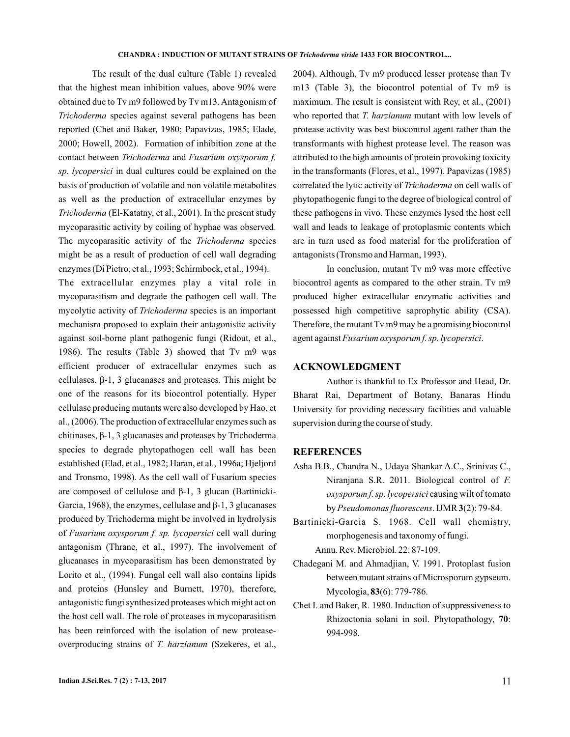The result of the dual culture (Table 1) revealed that the highest mean inhibition values, above 90% were obtained due to Tv m9 followed by Tv m13. Antagonism of Trichoderma species against several pathogens has been reported (Chet and Baker, 1980; Papavizas, 1985; Elade, 2000; Howell, 2002). Formation of inhibition zone at the contact between Trichoderma and Fusarium oxysporum f. sp. lycopersici in dual cultures could be explained on the basis of production of volatile and non volatile metabolites as well as the production of extracellular enzymes by (El-Katatny, et al., 2001). In the present study *Trichoderma* mycoparasitic activity by coiling of hyphae was observed. The mycoparasitic activity of the Trichoderma species might be as a result of production of cell wall degrading enzymes (Di Pietro, et al., 1993; Schirmbock, et al., 1994).

The extracellular enzymes play a vital role in mycoparasitism and degrade the pathogen cell wall. The mycolytic activity of *Trichoderma* species is an important mechanism proposed to explain their antagonistic activity against soil-borne plant pathogenic fungi (Ridout, et al., 1986). The results (Table 3) showed that Tv m9 was efficient producer of extracellular enzymes such as cellulases, β-1, 3 glucanases and proteases. This might be cellulase producing mutants were also developed by Hao, et al., (2006). The production of extracellular enzymes such as chitinases,  $\beta$ -1, 3 glucanases and proteases by Trichoderma species to degrade phytopathogen cell wall has been established (Elad, et al., 1982; Haran, et al., 1996a; Hjeljord and Tronsmo, 1998). As the cell wall of Fusarium species produced by Trichoderma might be involved in hydrolysis of Fusarium oxysporum f. sp. lycopersici cell wall during antagonism (Thrane, et al., 1997). The involvement of glucanases in mycoparasitism has been demonstrated by Lorito et al., (1994). Fungal cell wall also contains lipids and proteins (Hunsley and Burnett, 1970), therefore, antagonistic fungi synthesized proteases which might act on the host cell wall. The role of proteases in mycoparasitism has been reinforced with the isolation of new proteaseoverproducing strains of T. harzianum (Szekeres, et al., one of the reasons for its biocontrol potentially. Hyper are composed of cellulose and β-1, 3 glucan (Bartinicki-Garcia, 1968), the enzymes, cellulase and β-1, 3 glucanases

2004). Although, Tv m9 produced lesser protease than Tv m13 (Table 3), the biocontrol potential of Tv m9 is maximum. The result is consistent with Rey, et al., (2001) who reported that T. harzianum mutant with low levels of protease activity was best biocontrol agent rather than the transformants with highest protease level. The reason was attributed to the high amounts of protein provoking toxicity in the transformants (Flores, et al., 1997). Papavizas (1985) correlated the lytic activity of *Trichoderma* on cell walls of phytopathogenic fungi to the degree of biological control of these pathogens in vivo. These enzymes lysed the host cell wall and leads to leakage of protoplasmic contents which are in turn used as food material for the proliferation of antagonists (Tronsmo and Harman, 1993).

In conclusion, mutant Tv m9 was more effective biocontrol agents as compared to the other strain. Tv m9 produced higher extracellular enzymatic activities and possessed high competitive saprophytic ability (CSA). Therefore, the mutant Tv m9 may be a promising biocontrol agent against Fusarium oxysporum f. sp. lycopersici.

### **ACKNOWLEDGMENT**

Author is thankful to Ex Professor and Head, Dr. Bharat Rai, Department of Botany, Banaras Hindu University for providing necessary facilities and valuable supervision during the course of study.

### **REFERENCES**

- Asha B.B., Chandra N., Udaya Shankar A.C., Srinivas C., Niranjana S.R. 2011. Biological control of *F.* oxysporum f. sp. lycopersici causing wilt of tomato by Pseudomonas fluorescens. **IJMR 3**(2): 79-84.
- Bartinicki-Garcia S. 1968. Cell wall chemistry, morphogenesis and taxonomy of fungi. Annu. Rev. Microbiol. 22: 87-109.
- Chadegani M. and Ahmadjian, V. 1991. Protoplast fusion between mutant strains of Microsporum gypseum. Mycologia, 83(6): 779-786.
- Chet I. and Baker, R. 1980. Induction of suppressiveness to Rhizoctonia solani in soil. Phytopathology, 70: 994-998.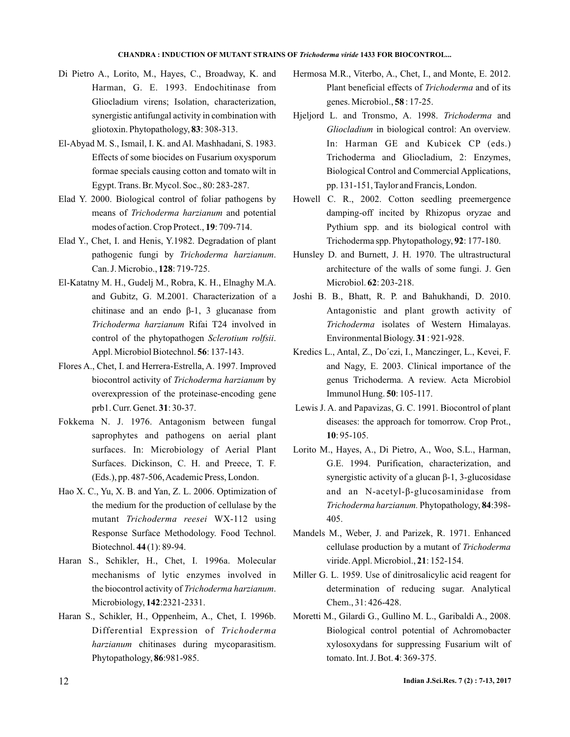#### **CHANDRA : INDUCTION OF MUTANT STRAINS OF Trichoderma viride 1433 FOR BIOCONTROL...**

- Di Pietro A., Lorito, M., Hayes, C., Broadway, K. and Harman, G. E. 1993. Endochitinase from Gliocladium virens; Isolation, characterization, synergistic antifungal activity in combination with gliotoxin. Phytopathology, 83: 308-313.
- El-Abyad M. S., Ismail, I. K. and Al. Mashhadani, S. 1983. Effects of some biocides on Fusarium oxysporum formae specials causing cotton and tomato wilt in Egypt. Trans. Br. Mycol. Soc., 80: 283-287.
- Elad Y. 2000. Biological control of foliar pathogens by means of Trichoderma harzianum and potential modes of action. Crop Protect., 19: 709-714.
- Elad Y., Chet, I. and Henis, Y.1982. Degradation of plant pathogenic fungi by Trichoderma harzianum. Can. J. Microbio., 128: 719-725.
- El-Katatny M. H., Gudelj M., Robra, K. H., Elnagh y M.A. Rifai T24 involved in *Trichoderma harzianum* control of the phytopathogen Sclerotium rolfsii. Appl. Microbiol Biotechnol. 56: 137-143. and Gubitz, G. M.2001. Characterization of a chitinase and an endo  $β-1$ , 3 glucanase from
- Flores A., Chet, I. and Herrera-Estrella, A. 1997. Improved biocontrol activity of Trichoderma harzianum by overexpression of the proteinase-encoding gene prb1. Curr. Genet. **31**: 30-37.
- Fokkema N. J. 1976. Antagonism between fungal saprophytes and pathogens on aerial plant surfaces. In: Microbiology of Aerial Plant Surfaces. Dickinson, C. H. and Preece, T. F. (Eds.), pp. 487-506,Academic Press, London.
- Hao X. C., Yu, X. B. and Yan, Z. L. 2006. Optimization of the medium for the production of cellulase by the mutant *Trichoderma reesei* WX-112 using Response Surface Methodology. Food Technol. Biotechnol. **44** (1): 89-94.
- Haran S., Schikler, H., Chet, I. 1996a. Molecular mechanisms of lytic enzymes involved in the biocontrol activity of *Trichoderma harzianum*. Microbiology, 142:2321-2331.
- Haran S., Schikler, H., Oppenheim, A., Chet, I. 1996b. Differential Expression of *Trichoderma* harzianum chitinases during mycoparasitism. Phytopathology, 86:981-985.
- Hermosa M.R., Viterbo, A., Chet, I., and Monte, E. 2012. Plant beneficial effects of *Trichoderma* and of its genes. Microbiol., **58** : 17-25.
- Hjeljord L. and Tronsmo, A. 1998. Trichoderma and Gliocladium in biological control: An overview. In: Harman GE and Kubicek CP (eds.) Trichoderma and Gliocladium, 2: Enzymes, Biological Control and Commercial Applications, pp. 131-151, Taylor and Francis, London.
- Howell C. R., 2002. Cotton seedling preemergence damping-off incited by Rhizopus oryzae and Pythium spp. and its biological control with Trichoderma spp. Phytopathology, 92: 177-180.
- Hunsley D. and Burnett, J. H. 1970. The ultrastructural architecture of the walls of some fungi. J. Gen Microbiol. **62**: 203-218.
- Joshi B. B., Bhatt, R. P. and Bahukhandi, D. 2010. Antagonistic and plant growth activity of Trichoderma isolates of Western Himalayas. Environmental Biology. 31: 921-928.
- Kredics L., Antal, Z., Do'czi, I., Manczinger, L., Kevei, F. and Nagy, E. 2003. Clinical importance of the genus Trichoderma. A review. Acta Microbiol Immunol Hung. **50**: 105-117.
- Lewis J. A. and Papavizas, G. C. 1991. Biocontrol of plant diseases: the approach for tomorrow. Crop Prot., : 95-105. **10**
- Lorito M., Hayes, A., Di Pietro, A., Woo, S.L., Harman, G.E. 1994. Purification, characterization, and and an N-acetyl-β-glucosaminidase from Trichoderma harzianum. Phytopathology, 84:398-405. synergistic activity of a glucan β-1, 3-glucosidase
- Mandels M., Weber, J. and Parizek, R. 1971. Enhanced cellulase production by a mutant of *Trichoderma* viride. Appl. Microbiol., 21: 152-154.
- Miller G. L. 1959. Use of dinitrosalicylic acid reagent for determination of reducing sugar. Analytical Chem., 31: 426-428.
- Moretti M., Gilardi G., Gullino M. L., Garibaldi A., 2008. Biological control potential of Achromobacter xylosoxydans for suppressing Fusarium wilt of tomato. Int. J. Bot. 4: 369-375.